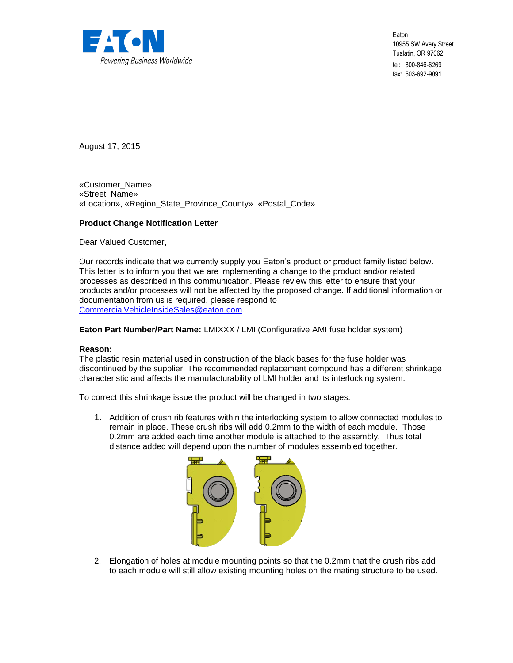

Eaton 10955 SW Avery Street Tualatin, OR 97062 tel: 800-846-6269 fax: 503-692-9091

August 17, 2015

«Customer\_Name» «Street\_Name» «Location», «Region\_State\_Province\_County» «Postal\_Code»

## **Product Change Notification Letter**

Dear Valued Customer,

Our records indicate that we currently supply you Eaton's product or product family listed below. This letter is to inform you that we are implementing a change to the product and/or related processes as described in this communication. Please review this letter to ensure that your products and/or processes will not be affected by the proposed change. If additional information or documentation from us is required, please respond to [CommercialVehicleInsideSales@eaton.com.](mailto:CommercialVehicleInsideSales@eaton.com)

**Eaton Part Number/Part Name:** LMIXXX / LMI (Configurative AMI fuse holder system)

## **Reason:**

The plastic resin material used in construction of the black bases for the fuse holder was discontinued by the supplier. The recommended replacement compound has a different shrinkage characteristic and affects the manufacturability of LMI holder and its interlocking system.

To correct this shrinkage issue the product will be changed in two stages:

1. Addition of crush rib features within the interlocking system to allow connected modules to remain in place. These crush ribs will add 0.2mm to the width of each module. Those 0.2mm are added each time another module is attached to the assembly. Thus total distance added will depend upon the number of modules assembled together.



2. Elongation of holes at module mounting points so that the 0.2mm that the crush ribs add to each module will still allow existing mounting holes on the mating structure to be used.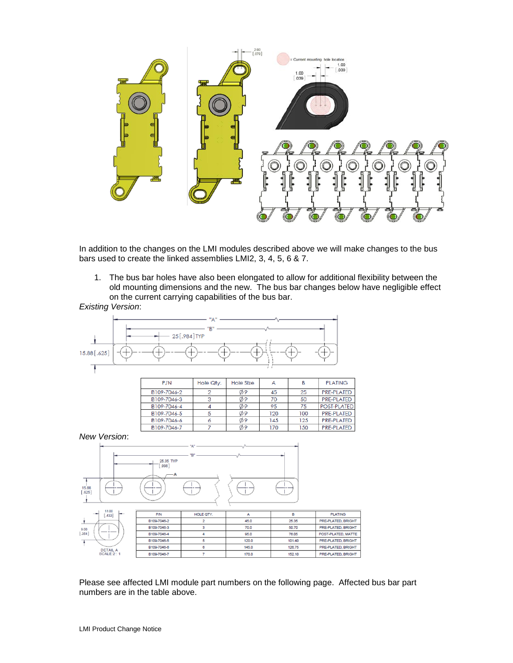

In addition to the changes on the LMI modules described above we will make changes to the bus bars used to create the linked assemblies LMI2, 3, 4, 5, 6 & 7.

1. The bus bar holes have also been elongated to allow for additional flexibility between the old mounting dimensions and the new. The bus bar changes below have negligible effect on the current carrying capabilities of the bus bar.



Please see affected LMI module part numbers on the following page. Affected bus bar part numbers are in the table above.